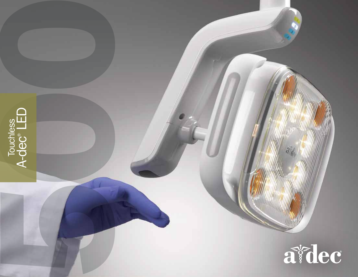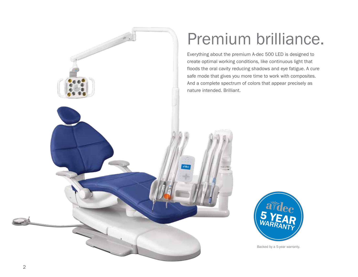

## Premium brilliance.

Everything about the premium A-dec 500 LED is designed to create optimal working conditions, like continuous light that floods the oral cavity reducing shadows and eye fatigue. A cure safe mode that gives you more time to work with composites. And a complete spectrum of colors that appear precisely as nature intended. Brilliant.



Backed by a 5-year warranty.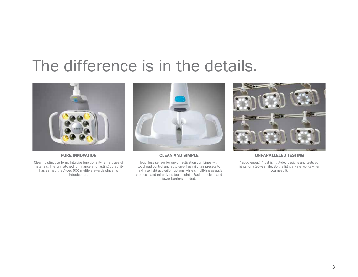## The difference is in the details.



PURE INNOVATION

Clean, distinctive form. Intuitive functionality. Smart use of materials. The unmatched luminance and lasting durability has earned the A-dec 500 multiple awards since its introduction.



### CLEAN AND SIMPLE

Touchless sensor for on/off activation combines with touchpad control and auto on-off using chair presets to maximize light activation options while simplifying asepsis protocols and minimizing touchpoints. Easier to clean and fewer barriers needed.



## UNPARALLELED TESTING

 "Good enough" just isn't. A-dec designs and tests our lights for a 20-year life. So the light always works when you need it.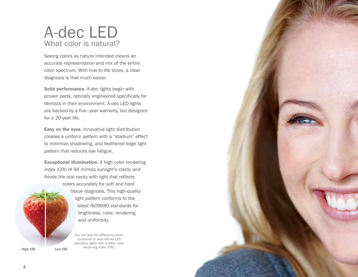## A-dec LED What color is natural?

Seeing colors as nature intended means an accurate representation and mix of the entire color spectrum. With true-to-life tones, a clear diagnosis is that much easier.

Solid performance. A-dec lights begin with proven parts, optically engineered specifically for dentists in their environment. A-dec LED lights are backed by a five–year warranty, but designed for a 20-year life.

Easy on the eyes. Innovative light distribution creates a uniform pattern with a "stadium" effect to minimize shadowing, and feathered edge light pattern that reduces eye fatigue.

Exceptional illumination. A high color rendering index (CRI) of 94 mimics sunlight's clarity and floods the oral cavity with light that reflects



colors accurately for soft and hard tissue diagnosis. This high-quality light pattern conforms to the latest ISO9680 standards for brightness, color, rendering and uniformity.

> You can see the difference when compared to less refined LED operatory lights with a lower color rendering index (CRI).

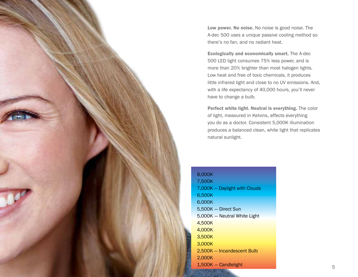Low power. No noise. No noise is good noise. The A-dec 500 uses a unique passive cooling method so there's no fan, and no radiant heat.

Ecologically and economically smart. The A-dec 500 LED light consumes 75% less power, and is more than 20% brighter than most halogen lights. Low heat and free of toxic chemicals, it produces little infrared light and close to no UV emissions. And, with a life expectancy of 40,000 hours, you'll never have to change a bulb.

Perfect white light. Neutral is everything. The color of light, measured in Kelvins, affects everything you do as a doctor. Consistent 5,000K illumination produces a balanced clean, white light that replicates natural sunlight.

| 8.000K                        |
|-------------------------------|
| 7,500K                        |
| 7,000K - Daylight with Clouds |
| 6,500K                        |
| 6.000K                        |
| 5,500K - Direct Sun           |
| 5,000K - Neutral White Light  |
| 4,500K                        |
| 4,000K                        |
| 3,500K                        |
| 3,000K                        |
| 2,500K - Incandescent Bulb    |
| 2,000K                        |
| 1,500K - Candlelight          |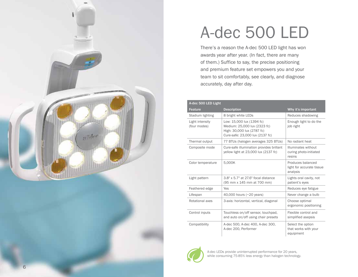

# A-dec 500 LED

There's a reason the A-dec 500 LED light has won awards year after year. (In fact, there are many of them.) Suffice to say, the precise positioning and premium feature set empowers you and your team to sit comfortably, see clearly, and diagnose accurately, day after day.

| A-dec 500 LED Light             |                                                                                                                            |                                                            |  |
|---------------------------------|----------------------------------------------------------------------------------------------------------------------------|------------------------------------------------------------|--|
| Feature                         | <b>Description</b>                                                                                                         | Why it's important                                         |  |
| Stadium lighting                | 8 bright white LEDs                                                                                                        | Reduces shadowing                                          |  |
| Light intensity<br>(four modes) | Low: 15,000 lux (1394 fc)<br>Medium: 25,000 lux (2323 fc)<br>High: 30,000 lux (2787 fc)<br>Cure-safe: 23,000 lux (2137 fc) | Enough light to do the<br>job right                        |  |
| Thermal output                  | 77 BTUs (halogen averages 325 BTUs)                                                                                        | No radiant heat                                            |  |
| Composite mode                  | Cure-safe illumination provides brillant<br>yellow light at 23,000 lux (2137 fc)                                           | Illuminates without<br>curing photo-initiated<br>resins    |  |
| Color temperature               | 5,000K                                                                                                                     | Produces balanced<br>light for accurate tissue<br>analysis |  |
| Light pattern                   | 3.8" x 5.7" at 27.6" focal distance<br>(95 mm x 145 mm at 700 mm)                                                          | Lights oral cavity, not<br>patient's eyes                  |  |
| Feathered edge                  | Yes                                                                                                                        | Reduces eye fatigue                                        |  |
| Lifespan                        | 40,000 hours (~20 years)                                                                                                   | Never change a bulb                                        |  |
| Rotational axes                 | 3-axis: horizontal, vertical, diagonal                                                                                     | Choose optimal<br>ergonomic positioning                    |  |
| Control inputs                  | Touchless on/off sensor, touchpad,<br>and auto on/off using chair presets                                                  | Flexible control and<br>simplified asepsis                 |  |
| Compatibility                   | A-dec 500, A-dec 400, A-dec 300,<br>A-dec 200, Performer                                                                   | Select the option<br>that works with your<br>equipment     |  |



A-dec LEDs provide uninterrupted performance for 20 years, while consuming 75-85% less energy than halogen technology.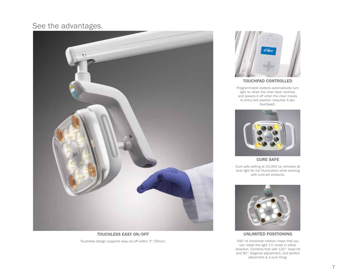## See the advantages.



TOUCHLESS EASY ON/OFF Touchless design supports easy on/off within 3″ (76mm).



TOUCHPAD CONTROLLED

Programmable buttons automatically turn light on when the chair back reclines, and powers it off when the chair moves to entry/exit position *(requires A-dec touchpad)*.



CURE SAFE

Cure safe setting at 23,000 lux removes all blue light for full illumination while working with cure-set products.



UNLIMITED POSITIONING

540°of horizontal rotation mean that you can rotate the light 1½ times in either direction. Combine that with 120° head tilt and 80° diagonal adjustment, and perfect placement is a sure thing.